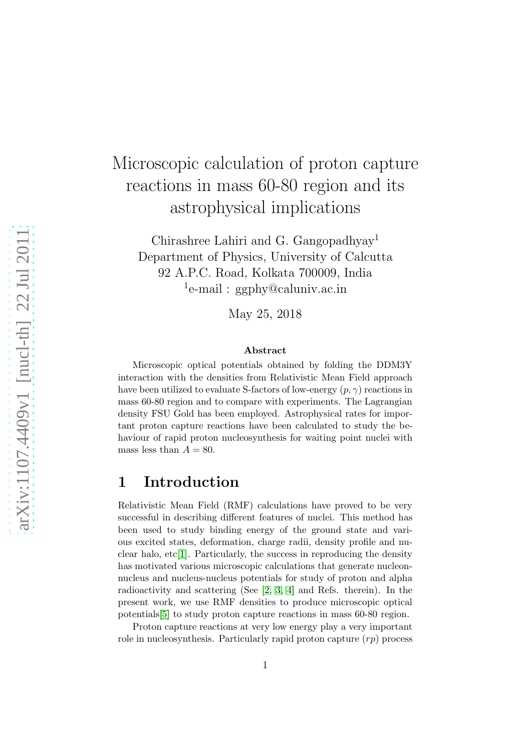# Microscopic calculation of proton capture reactions in mass 60-80 region and its astrophysical implications

Chirashree Lahiri and G. Gangopadhyay<sup>1</sup> Department of Physics, University of Calcutta 92 A.P.C. Road, Kolkata 700009, India <sup>1</sup>e-mail: ggphy@caluniv.ac.in

May 25, 2018

#### Abstract

Microscopic optical potentials obtained by folding the DDM3Y interaction with the densities from Relativistic Mean Field approach have been utilized to evaluate S-factors of low-energy  $(p, \gamma)$  reactions in mass 60-80 region and to compare with experiments. The Lagrangian density FSU Gold has been employed. Astrophysical rates for important proton capture reactions have been calculated to study the behaviour of rapid proton nucleosynthesis for waiting point nuclei with mass less than  $A = 80$ .

#### 1 Introduction

Relativistic Mean Field (RMF) calculations have proved to be very successful in describing different features of nuclei. This method has been used to study binding energy of the ground state and various excited states, deformation, charge radii, density profile and nuclear halo,  $etc[1]$  $etc[1]$ . Particularly, the success in reproducing the density has motivated various microscopic calculations that generate nucleonnucleus and nucleus-nucleus potentials for study of proton and alpha radioactivity and scattering (See [\[2,](#page-9-1) [3,](#page-9-2) [4\]](#page-9-3) and Refs. therein). In the present work, we use RMF densities to produce microscopic optical potentials[\[5\]](#page-9-4) to study proton capture reactions in mass 60-80 region.

Proton capture reactions at very low energy play a very important role in nucleosynthesis. Particularly rapid proton capture  $(rp)$  process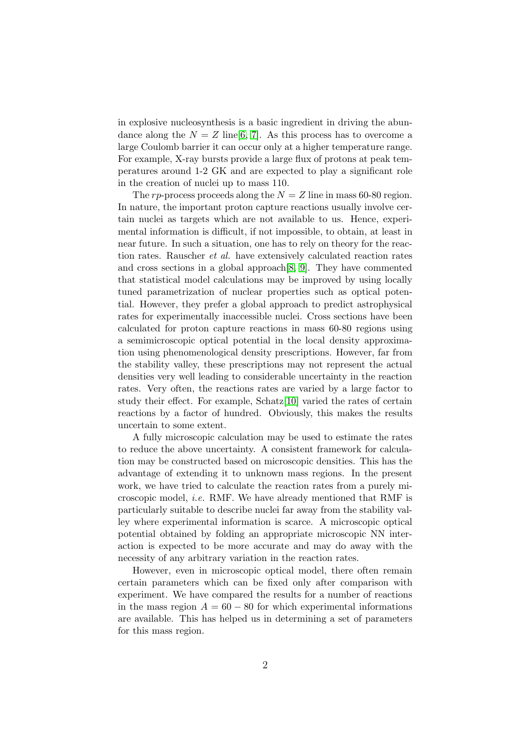in explosive nucleosynthesis is a basic ingredient in driving the abundance along the  $N = Z$  line[\[6,](#page-9-5) [7\]](#page-9-6). As this process has to overcome a large Coulomb barrier it can occur only at a higher temperature range. For example, X-ray bursts provide a large flux of protons at peak temperatures around 1-2 GK and are expected to play a significant role in the creation of nuclei up to mass 110.

The rp-process proceeds along the  $N = Z$  line in mass 60-80 region. In nature, the important proton capture reactions usually involve certain nuclei as targets which are not available to us. Hence, experimental information is difficult, if not impossible, to obtain, at least in near future. In such a situation, one has to rely on theory for the reaction rates. Rauscher et al. have extensively calculated reaction rates and cross sections in a global approach[\[8,](#page-9-7) [9\]](#page-10-0). They have commented that statistical model calculations may be improved by using locally tuned parametrization of nuclear properties such as optical potential. However, they prefer a global approach to predict astrophysical rates for experimentally inaccessible nuclei. Cross sections have been calculated for proton capture reactions in mass 60-80 regions using a semimicroscopic optical potential in the local density approximation using phenomenological density prescriptions. However, far from the stability valley, these prescriptions may not represent the actual densities very well leading to considerable uncertainty in the reaction rates. Very often, the reactions rates are varied by a large factor to study their effect. For example, Schatz[\[10\]](#page-10-1) varied the rates of certain reactions by a factor of hundred. Obviously, this makes the results uncertain to some extent.

A fully microscopic calculation may be used to estimate the rates to reduce the above uncertainty. A consistent framework for calculation may be constructed based on microscopic densities. This has the advantage of extending it to unknown mass regions. In the present work, we have tried to calculate the reaction rates from a purely microscopic model, i.e. RMF. We have already mentioned that RMF is particularly suitable to describe nuclei far away from the stability valley where experimental information is scarce. A microscopic optical potential obtained by folding an appropriate microscopic NN interaction is expected to be more accurate and may do away with the necessity of any arbitrary variation in the reaction rates.

However, even in microscopic optical model, there often remain certain parameters which can be fixed only after comparison with experiment. We have compared the results for a number of reactions in the mass region  $A = 60 - 80$  for which experimental informations are available. This has helped us in determining a set of parameters for this mass region.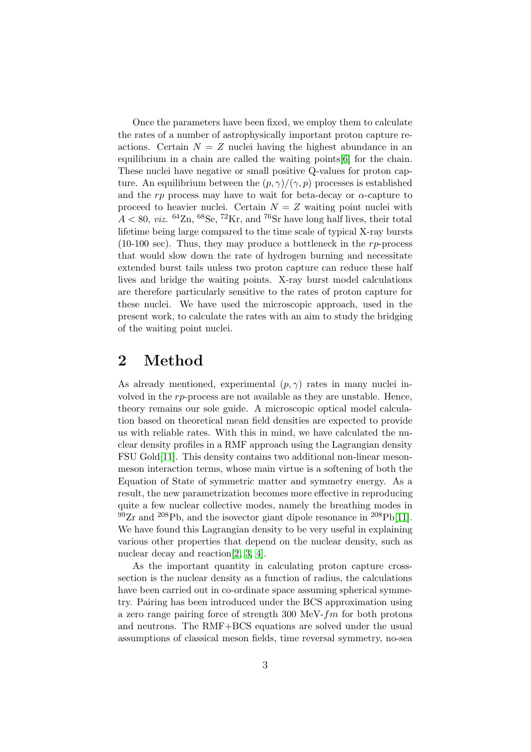Once the parameters have been fixed, we employ them to calculate the rates of a number of astrophysically important proton capture reactions. Certain  $N = Z$  nuclei having the highest abundance in an equilibrium in a chain are called the waiting points[\[6\]](#page-9-5) for the chain. These nuclei have negative or small positive Q-values for proton capture. An equilibrium between the  $(p, \gamma)/(\gamma, p)$  processes is established and the  $rp$  process may have to wait for beta-decay or  $\alpha$ -capture to proceed to heavier nuclei. Certain  $N = Z$  waiting point nuclei with  $A < 80$ , *viz.* <sup>64</sup>Zn, <sup>68</sup>Se, <sup>72</sup>Kr, and <sup>76</sup>Sr have long half lives, their total lifetime being large compared to the time scale of typical X-ray bursts (10-100 sec). Thus, they may produce a bottleneck in the  $rp$ -process that would slow down the rate of hydrogen burning and necessitate extended burst tails unless two proton capture can reduce these half lives and bridge the waiting points. X-ray burst model calculations are therefore particularly sensitive to the rates of proton capture for these nuclei. We have used the microscopic approach, used in the present work, to calculate the rates with an aim to study the bridging of the waiting point nuclei.

## 2 Method

As already mentioned, experimental  $(p, \gamma)$  rates in many nuclei involved in the rp-process are not available as they are unstable. Hence, theory remains our sole guide. A microscopic optical model calculation based on theoretical mean field densities are expected to provide us with reliable rates. With this in mind, we have calculated the nuclear density profiles in a RMF approach using the Lagrangian density FSU Gold[\[11\]](#page-10-2). This density contains two additional non-linear mesonmeson interaction terms, whose main virtue is a softening of both the Equation of State of symmetric matter and symmetry energy. As a result, the new parametrization becomes more effective in reproducing quite a few nuclear collective modes, namely the breathing modes in  $^{99}Zr$  and  $^{208}Pb$ , and the isovector giant dipole resonance in  $^{208}Pb[11]$  $^{208}Pb[11]$ . We have found this Lagrangian density to be very useful in explaining various other properties that depend on the nuclear density, such as nuclear decay and reaction [\[2,](#page-9-1) [3,](#page-9-2) [4\]](#page-9-3).

As the important quantity in calculating proton capture crosssection is the nuclear density as a function of radius, the calculations have been carried out in co-ordinate space assuming spherical symmetry. Pairing has been introduced under the BCS approximation using a zero range pairing force of strength 300 MeV- $fm$  for both protons and neutrons. The RMF+BCS equations are solved under the usual assumptions of classical meson fields, time reversal symmetry, no-sea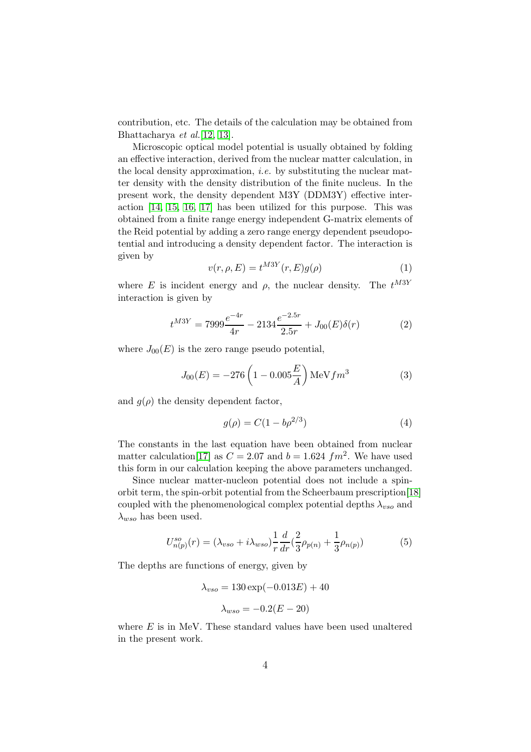contribution, etc. The details of the calculation may be obtained from Bhattacharya et al.[\[12,](#page-10-3) [13\]](#page-10-4).

Microscopic optical model potential is usually obtained by folding an effective interaction, derived from the nuclear matter calculation, in the local density approximation, *i.e.* by substituting the nuclear matter density with the density distribution of the finite nucleus. In the present work, the density dependent M3Y (DDM3Y) effective interaction [\[14,](#page-10-5) [15,](#page-10-6) [16,](#page-10-7) [17\]](#page-10-8) has been utilized for this purpose. This was obtained from a finite range energy independent G-matrix elements of the Reid potential by adding a zero range energy dependent pseudopotential and introducing a density dependent factor. The interaction is given by

$$
v(r, \rho, E) = t^{M3Y}(r, E)g(\rho)
$$
\n<sup>(1)</sup>

where E is incident energy and  $\rho$ , the nuclear density. The  $t^{M3Y}$ interaction is given by

$$
t^{M3Y} = 7999 \frac{e^{-4r}}{4r} - 2134 \frac{e^{-2.5r}}{2.5r} + J_{00}(E)\delta(r)
$$
 (2)

where  $J_{00}(E)$  is the zero range pseudo potential,

$$
J_{00}(E) = -276 \left( 1 - 0.005 \frac{E}{A} \right) \text{MeV} fm^3 \tag{3}
$$

and  $g(\rho)$  the density dependent factor,

$$
g(\rho) = C(1 - b\rho^{2/3})
$$
 (4)

The constants in the last equation have been obtained from nuclear matter calculation<sup>[\[17\]](#page-10-8)</sup> as  $C = 2.07$  and  $b = 1.624$   $fm^2$ . We have used this form in our calculation keeping the above parameters unchanged.

Since nuclear matter-nucleon potential does not include a spinorbit term, the spin-orbit potential from the Scheerbaum prescription[\[18\]](#page-10-9) coupled with the phenomenological complex potential depths  $\lambda_{vso}$  and  $\lambda_{wso}$  has been used.

$$
U_{n(p)}^{so}(r) = (\lambda_{vso} + i\lambda_{wso})\frac{1}{r}\frac{d}{dr}(\frac{2}{3}\rho_{p(n)} + \frac{1}{3}\rho_{n(p)})
$$
(5)

The depths are functions of energy, given by

$$
\lambda_{vso} = 130 \exp(-0.013E) + 40
$$

$$
\lambda_{wso} = -0.2(E - 20)
$$

where  $E$  is in MeV. These standard values have been used unaltered in the present work.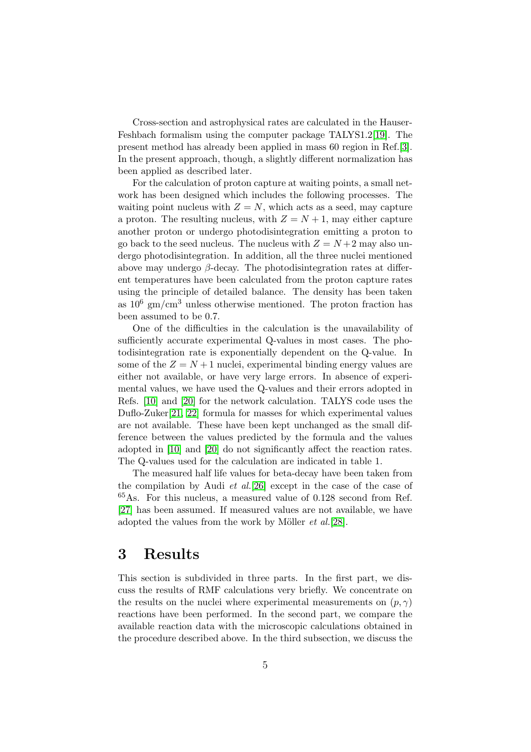Cross-section and astrophysical rates are calculated in the Hauser-Feshbach formalism using the computer package TALYS1.2[\[19\]](#page-10-10). The present method has already been applied in mass 60 region in Ref.[\[3\]](#page-9-2). In the present approach, though, a slightly different normalization has been applied as described later.

For the calculation of proton capture at waiting points, a small network has been designed which includes the following processes. The waiting point nucleus with  $Z = N$ , which acts as a seed, may capture a proton. The resulting nucleus, with  $Z = N + 1$ , may either capture another proton or undergo photodisintegration emitting a proton to go back to the seed nucleus. The nucleus with  $Z = N + 2$  may also undergo photodisintegration. In addition, all the three nuclei mentioned above may undergo  $\beta$ -decay. The photodisintegration rates at different temperatures have been calculated from the proton capture rates using the principle of detailed balance. The density has been taken as  $10^6$  gm/cm<sup>3</sup> unless otherwise mentioned. The proton fraction has been assumed to be 0.7.

One of the difficulties in the calculation is the unavailability of sufficiently accurate experimental Q-values in most cases. The photodisintegration rate is exponentially dependent on the Q-value. In some of the  $Z = N + 1$  nuclei, experimental binding energy values are either not available, or have very large errors. In absence of experimental values, we have used the Q-values and their errors adopted in Refs. [\[10\]](#page-10-1) and [\[20\]](#page-10-11) for the network calculation. TALYS code uses the Duflo-Zuker[\[21,](#page-10-12) [22\]](#page-10-13) formula for masses for which experimental values are not available. These have been kept unchanged as the small difference between the values predicted by the formula and the values adopted in [\[10\]](#page-10-1) and [\[20\]](#page-10-11) do not significantly affect the reaction rates. The Q-values used for the calculation are indicated in table 1.

The measured half life values for beta-decay have been taken from the compilation by Audi  $et$  al.<sup>[\[26\]](#page-10-14)</sup> except in the case of the case of <sup>65</sup>As. For this nucleus, a measured value of 0.128 second from Ref. [\[27\]](#page-10-15) has been assumed. If measured values are not available, we have adopted the values from the work by Möller  $et \ al. [28]$  $et \ al. [28]$ .

#### 3 Results

This section is subdivided in three parts. In the first part, we discuss the results of RMF calculations very briefly. We concentrate on the results on the nuclei where experimental measurements on  $(p, \gamma)$ reactions have been performed. In the second part, we compare the available reaction data with the microscopic calculations obtained in the procedure described above. In the third subsection, we discuss the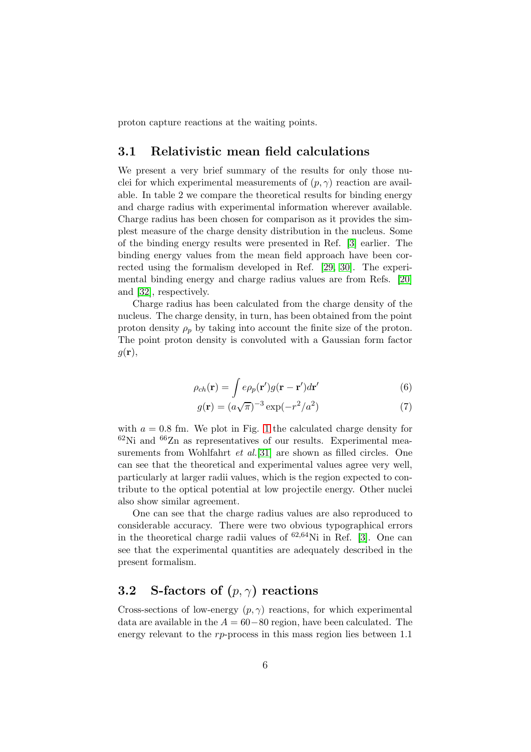proton capture reactions at the waiting points.

#### 3.1 Relativistic mean field calculations

We present a very brief summary of the results for only those nuclei for which experimental measurements of  $(p, \gamma)$  reaction are available. In table 2 we compare the theoretical results for binding energy and charge radius with experimental information wherever available. Charge radius has been chosen for comparison as it provides the simplest measure of the charge density distribution in the nucleus. Some of the binding energy results were presented in Ref. [\[3\]](#page-9-2) earlier. The binding energy values from the mean field approach have been corrected using the formalism developed in Ref. [\[29,](#page-10-17) [30\]](#page-10-18). The experimental binding energy and charge radius values are from Refs. [\[20\]](#page-10-11) and [\[32\]](#page-10-19), respectively.

Charge radius has been calculated from the charge density of the nucleus. The charge density, in turn, has been obtained from the point proton density  $\rho_p$  by taking into account the finite size of the proton. The point proton density is convoluted with a Gaussian form factor  $g(\mathbf{r}),$ 

$$
\rho_{ch}(\mathbf{r}) = \int e\rho_p(\mathbf{r}')g(\mathbf{r} - \mathbf{r}')d\mathbf{r}'
$$
\n(6)

$$
g(\mathbf{r}) = (a\sqrt{\pi})^{-3} \exp(-r^2/a^2)
$$
 (7)

with  $a = 0.8$  fm. We plot in Fig. [1](#page-13-0) the calculated charge density for  $62$ Ni and  $66$ Zn as representatives of our results. Experimental measurements from Wohlfahrt *et al.*[\[31\]](#page-10-20) are shown as filled circles. One can see that the theoretical and experimental values agree very well, particularly at larger radii values, which is the region expected to contribute to the optical potential at low projectile energy. Other nuclei also show similar agreement.

One can see that the charge radius values are also reproduced to considerable accuracy. There were two obvious typographical errors in the theoretical charge radii values of  $62,64$ Ni in Ref. [\[3\]](#page-9-2). One can see that the experimental quantities are adequately described in the present formalism.

#### 3.2 S-factors of  $(p, \gamma)$  reactions

Cross-sections of low-energy  $(p, \gamma)$  reactions, for which experimental data are available in the  $A = 60-80$  region, have been calculated. The energy relevant to the rp-process in this mass region lies between 1.1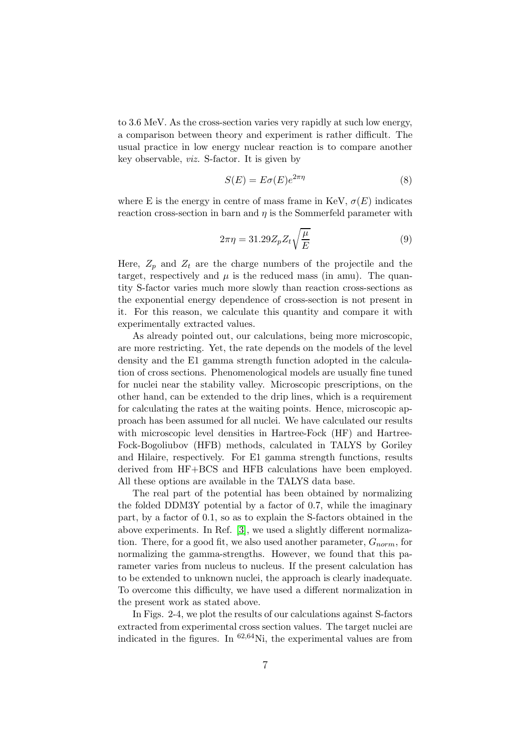to 3.6 MeV. As the cross-section varies very rapidly at such low energy, a comparison between theory and experiment is rather difficult. The usual practice in low energy nuclear reaction is to compare another key observable, viz. S-factor. It is given by

$$
S(E) = E\sigma(E)e^{2\pi\eta} \tag{8}
$$

where E is the energy in centre of mass frame in KeV,  $\sigma(E)$  indicates reaction cross-section in barn and  $n$  is the Sommerfeld parameter with

$$
2\pi\eta = 31.29 Z_p Z_t \sqrt{\frac{\mu}{E}}\tag{9}
$$

Here,  $Z_p$  and  $Z_t$  are the charge numbers of the projectile and the target, respectively and  $\mu$  is the reduced mass (in amu). The quantity S-factor varies much more slowly than reaction cross-sections as the exponential energy dependence of cross-section is not present in it. For this reason, we calculate this quantity and compare it with experimentally extracted values.

As already pointed out, our calculations, being more microscopic, are more restricting. Yet, the rate depends on the models of the level density and the E1 gamma strength function adopted in the calculation of cross sections. Phenomenological models are usually fine tuned for nuclei near the stability valley. Microscopic prescriptions, on the other hand, can be extended to the drip lines, which is a requirement for calculating the rates at the waiting points. Hence, microscopic approach has been assumed for all nuclei. We have calculated our results with microscopic level densities in Hartree-Fock (HF) and Hartree-Fock-Bogoliubov (HFB) methods, calculated in TALYS by Goriley and Hilaire, respectively. For E1 gamma strength functions, results derived from HF+BCS and HFB calculations have been employed. All these options are available in the TALYS data base.

The real part of the potential has been obtained by normalizing the folded DDM3Y potential by a factor of 0.7, while the imaginary part, by a factor of 0.1, so as to explain the S-factors obtained in the above experiments. In Ref. [\[3\]](#page-9-2), we used a slightly different normalization. There, for a good fit, we also used another parameter,  $G_{norm}$ , for normalizing the gamma-strengths. However, we found that this parameter varies from nucleus to nucleus. If the present calculation has to be extended to unknown nuclei, the approach is clearly inadequate. To overcome this difficulty, we have used a different normalization in the present work as stated above.

In Figs. 2-4, we plot the results of our calculations against S-factors extracted from experimental cross section values. The target nuclei are indicated in the figures. In  ${}^{62,64}$ Ni, the experimental values are from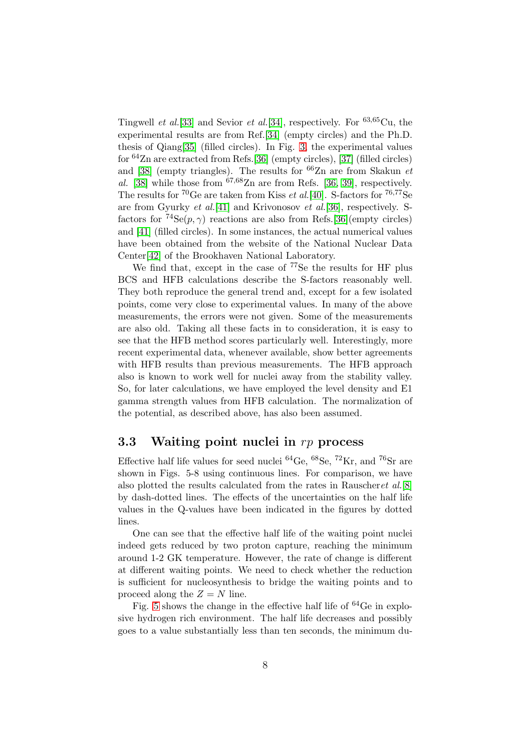Tingwell *et al.*[\[33\]](#page-11-0) and Sevior *et al.*[\[34\]](#page-11-1), respectively. For  ${}^{63,65}$ Cu, the experimental results are from Ref.[\[34\]](#page-11-1) (empty circles) and the Ph.D. thesis of Qiang[\[35\]](#page-11-2) (filled circles). In Fig. [3,](#page-15-0) the experimental values for  $64$ Zn are extracted from Refs.[\[36\]](#page-11-3) (empty circles), [\[37\]](#page-11-4) (filled circles) and [\[38\]](#page-11-5) (empty triangles). The results for  ${}^{66}$ Zn are from Skakun *et* al. [\[38\]](#page-11-5) while those from  $67,68$ Zn are from Refs. [\[36,](#page-11-3) [39\]](#page-11-6), respectively. The results for  ${}^{70}$ Ge are taken from Kiss *et al.*[\[40\]](#page-11-7). S-factors for  ${}^{76,77}$ Se are from Gyurky et al.[\[41\]](#page-11-8) and Krivonosov et al.[\[36\]](#page-11-3), respectively. Sfactors for  ${}^{74}Se(p,\gamma)$  reactions are also from Refs.[\[36\]](#page-11-3)(empty circles) and [\[41\]](#page-11-8) (filled circles). In some instances, the actual numerical values have been obtained from the website of the National Nuclear Data Center[\[42\]](#page-11-9) of the Brookhaven National Laboratory.

We find that, except in the case of  $^{77}$ Se the results for HF plus BCS and HFB calculations describe the S-factors reasonably well. They both reproduce the general trend and, except for a few isolated points, come very close to experimental values. In many of the above measurements, the errors were not given. Some of the measurements are also old. Taking all these facts in to consideration, it is easy to see that the HFB method scores particularly well. Interestingly, more recent experimental data, whenever available, show better agreements with HFB results than previous measurements. The HFB approach also is known to work well for nuclei away from the stability valley. So, for later calculations, we have employed the level density and E1 gamma strength values from HFB calculation. The normalization of the potential, as described above, has also been assumed.

#### 3.3 Waiting point nuclei in rp process

Effective half life values for seed nuclei  $^{64}$ Ge,  $^{68}$ Se,  $^{72}$ Kr, and  $^{76}$ Sr are shown in Figs. 5-8 using continuous lines. For comparison, we have also plotted the results calculated from the rates in Rauscheret al.[\[8\]](#page-9-7) by dash-dotted lines. The effects of the uncertainties on the half life values in the Q-values have been indicated in the figures by dotted lines.

One can see that the effective half life of the waiting point nuclei indeed gets reduced by two proton capture, reaching the minimum around 1-2 GK temperature. However, the rate of change is different at different waiting points. We need to check whether the reduction is sufficient for nucleosynthesis to bridge the waiting points and to proceed along the  $Z = N$  line.

Fig. [5](#page-17-0) shows the change in the effective half life of  $^{64}$ Ge in explosive hydrogen rich environment. The half life decreases and possibly goes to a value substantially less than ten seconds, the minimum du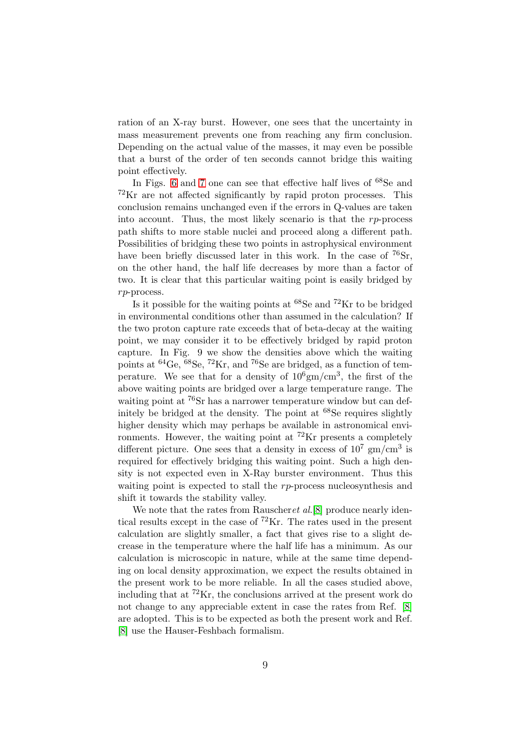ration of an X-ray burst. However, one sees that the uncertainty in mass measurement prevents one from reaching any firm conclusion. Depending on the actual value of the masses, it may even be possible that a burst of the order of ten seconds cannot bridge this waiting point effectively.

In Figs. [6](#page-18-0) and [7](#page-19-0) one can see that effective half lives of <sup>68</sup>Se and  ${}^{72}\text{Kr}$  are not affected significantly by rapid proton processes. This conclusion remains unchanged even if the errors in Q-values are taken into account. Thus, the most likely scenario is that the  $rp$ -process path shifts to more stable nuclei and proceed along a different path. Possibilities of bridging these two points in astrophysical environment have been briefly discussed later in this work. In the case of  $^{76}Sr$ , on the other hand, the half life decreases by more than a factor of two. It is clear that this particular waiting point is easily bridged by rp-process.

Is it possible for the waiting points at  ${}^{68}$ Se and  ${}^{72}$ Kr to be bridged in environmental conditions other than assumed in the calculation? If the two proton capture rate exceeds that of beta-decay at the waiting point, we may consider it to be effectively bridged by rapid proton capture. In Fig. 9 we show the densities above which the waiting points at  ${}^{64}$ Ge,  ${}^{68}$ Se,  ${}^{72}$ Kr, and  ${}^{76}$ Se are bridged, as a function of temperature. We see that for a density of  $10^6 \text{gm/cm}^3$ , the first of the above waiting points are bridged over a large temperature range. The waiting point at <sup>76</sup>Sr has a narrower temperature window but can definitely be bridged at the density. The point at <sup>68</sup>Se requires slightly higher density which may perhaps be available in astronomical environments. However, the waiting point at  ${}^{72}\text{Kr}$  presents a completely different picture. One sees that a density in excess of  $10^7 \text{ gm/cm}^3$  is required for effectively bridging this waiting point. Such a high density is not expected even in X-Ray burster environment. Thus this waiting point is expected to stall the rp-process nucleosynthesis and shift it towards the stability valley.

We note that the rates from Rauscheret al.<sup>[\[8\]](#page-9-7)</sup> produce nearly identical results except in the case of <sup>72</sup>Kr. The rates used in the present calculation are slightly smaller, a fact that gives rise to a slight decrease in the temperature where the half life has a minimum. As our calculation is microscopic in nature, while at the same time depending on local density approximation, we expect the results obtained in the present work to be more reliable. In all the cases studied above, including that at  ${}^{72}\text{Kr}$ , the conclusions arrived at the present work do not change to any appreciable extent in case the rates from Ref. [\[8\]](#page-9-7) are adopted. This is to be expected as both the present work and Ref. [\[8\]](#page-9-7) use the Hauser-Feshbach formalism.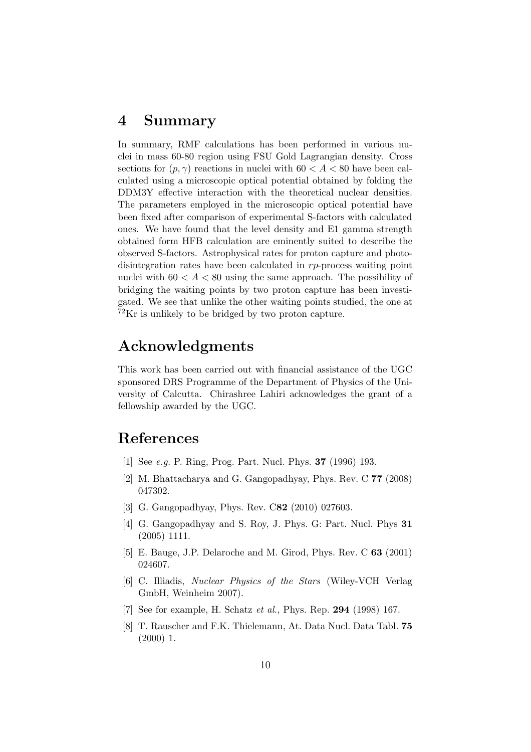### 4 Summary

In summary, RMF calculations has been performed in various nuclei in mass 60-80 region using FSU Gold Lagrangian density. Cross sections for  $(p, \gamma)$  reactions in nuclei with  $60 < A < 80$  have been calculated using a microscopic optical potential obtained by folding the DDM3Y effective interaction with the theoretical nuclear densities. The parameters employed in the microscopic optical potential have been fixed after comparison of experimental S-factors with calculated ones. We have found that the level density and E1 gamma strength obtained form HFB calculation are eminently suited to describe the observed S-factors. Astrophysical rates for proton capture and photodisintegration rates have been calculated in rp-process waiting point nuclei with  $60 < A < 80$  using the same approach. The possibility of bridging the waiting points by two proton capture has been investigated. We see that unlike the other waiting points studied, the one at  $72$ Kr is unlikely to be bridged by two proton capture.

## Acknowledgments

This work has been carried out with financial assistance of the UGC sponsored DRS Programme of the Department of Physics of the University of Calcutta. Chirashree Lahiri acknowledges the grant of a fellowship awarded by the UGC.

## <span id="page-9-0"></span>References

- <span id="page-9-1"></span>[1] See e.g. P. Ring, Prog. Part. Nucl. Phys. 37 (1996) 193.
- <span id="page-9-2"></span>[2] M. Bhattacharya and G. Gangopadhyay, Phys. Rev. C 77 (2008) 047302.
- <span id="page-9-3"></span>[3] G. Gangopadhyay, Phys. Rev. C82 (2010) 027603.
- [4] G. Gangopadhyay and S. Roy, J. Phys. G: Part. Nucl. Phys 31 (2005) 1111.
- <span id="page-9-5"></span><span id="page-9-4"></span>[5] E. Bauge, J.P. Delaroche and M. Girod, Phys. Rev. C 63 (2001) 024607.
- [6] C. Illiadis, Nuclear Physics of the Stars (Wiley-VCH Verlag GmbH, Weinheim 2007).
- <span id="page-9-7"></span><span id="page-9-6"></span>[7] See for example, H. Schatz et al., Phys. Rep. 294 (1998) 167.
- [8] T. Rauscher and F.K. Thielemann, At. Data Nucl. Data Tabl. 75 (2000) 1.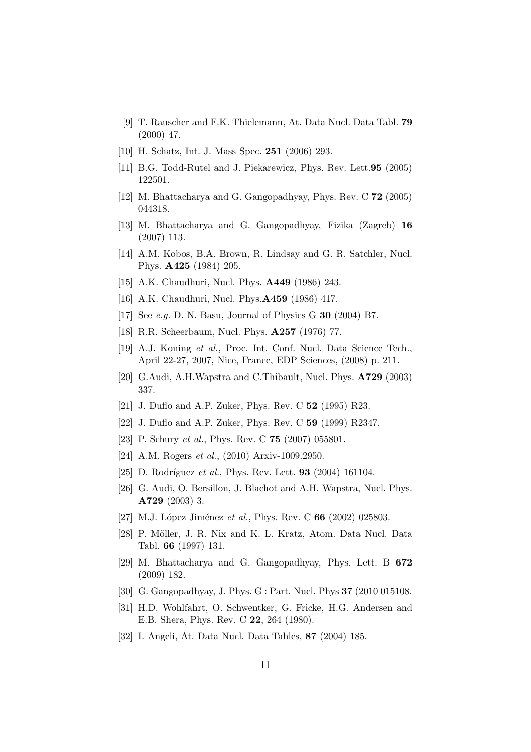- <span id="page-10-0"></span>[9] T. Rauscher and F.K. Thielemann, At. Data Nucl. Data Tabl. 79 (2000) 47.
- <span id="page-10-2"></span><span id="page-10-1"></span>[10] H. Schatz, Int. J. Mass Spec. 251 (2006) 293.
- <span id="page-10-3"></span>[11] B.G. Todd-Rutel and J. Piekarewicz, Phys. Rev. Lett.95 (2005) 122501.
- <span id="page-10-4"></span>[12] M. Bhattacharya and G. Gangopadhyay, Phys. Rev. C 72 (2005) 044318.
- <span id="page-10-5"></span>[13] M. Bhattacharya and G. Gangopadhyay, Fizika (Zagreb) 16 (2007) 113.
- <span id="page-10-6"></span>[14] A.M. Kobos, B.A. Brown, R. Lindsay and G. R. Satchler, Nucl. Phys. A425 (1984) 205.
- <span id="page-10-7"></span>[15] A.K. Chaudhuri, Nucl. Phys. A449 (1986) 243.
- <span id="page-10-8"></span>[16] A.K. Chaudhuri, Nucl. Phys.**A459** (1986) 417.
- <span id="page-10-9"></span>[17] See e.g. D. N. Basu, Journal of Physics G 30 (2004) B7.
- <span id="page-10-10"></span>[18] R.R. Scheerbaum, Nucl. Phys. A257 (1976) 77.
- [19] A.J. Koning et al., Proc. Int. Conf. Nucl. Data Science Tech., April 22-27, 2007, Nice, France, EDP Sciences, (2008) p. 211.
- <span id="page-10-12"></span><span id="page-10-11"></span>[20] G.Audi, A.H.Wapstra and C.Thibault, Nucl. Phys. A729 (2003) 337.
- <span id="page-10-13"></span>[21] J. Duflo and A.P. Zuker, Phys. Rev. C 52 (1995) R23.
- <span id="page-10-21"></span>[22] J. Duflo and A.P. Zuker, Phys. Rev. C 59 (1999) R2347.
- <span id="page-10-22"></span>[23] P. Schury et al., Phys. Rev. C **75** (2007) 055801.
- <span id="page-10-23"></span>[24] A.M. Rogers *et al.*, (2010) Arxiv-1009.2950.
- <span id="page-10-14"></span>[25] D. Rodríguez et al., Phys. Rev. Lett.  $93$  (2004) 161104.
- [26] G. Audi, O. Bersillon, J. Blachot and A.H. Wapstra, Nucl. Phys. A729 (2003) 3.
- <span id="page-10-16"></span><span id="page-10-15"></span>[27] M.J. López Jiménez et al., Phys. Rev. C  $66$  (2002) 025803.
- [28] P. Möller, J. R. Nix and K. L. Kratz, Atom. Data Nucl. Data Tabl. 66 (1997) 131.
- <span id="page-10-17"></span>[29] M. Bhattacharya and G. Gangopadhyay, Phys. Lett. B 672 (2009) 182.
- <span id="page-10-20"></span><span id="page-10-18"></span>[30] G. Gangopadhyay, J. Phys. G : Part. Nucl. Phys 37 (2010 015108.
- [31] H.D. Wohlfahrt, O. Schwentker, G. Fricke, H.G. Andersen and E.B. Shera, Phys. Rev. C 22, 264 (1980).
- <span id="page-10-19"></span>[32] I. Angeli, At. Data Nucl. Data Tables, 87 (2004) 185.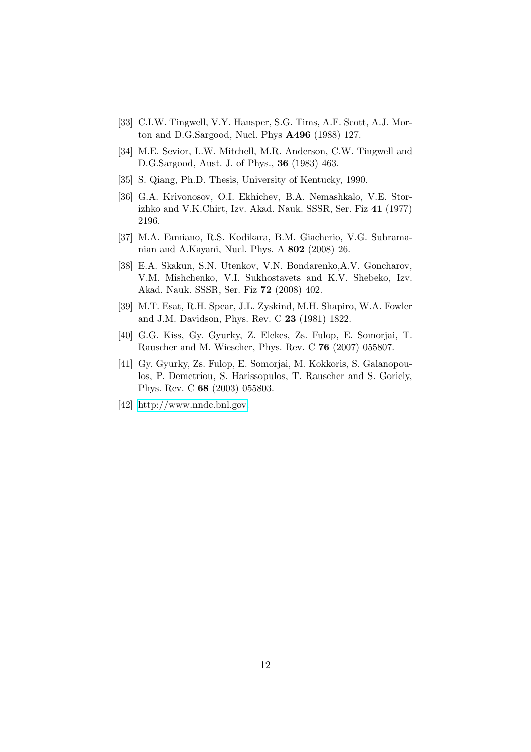- <span id="page-11-1"></span><span id="page-11-0"></span>[33] C.I.W. Tingwell, V.Y. Hansper, S.G. Tims, A.F. Scott, A.J. Morton and D.G.Sargood, Nucl. Phys A496 (1988) 127.
- [34] M.E. Sevior, L.W. Mitchell, M.R. Anderson, C.W. Tingwell and D.G.Sargood, Aust. J. of Phys., 36 (1983) 463.
- <span id="page-11-3"></span><span id="page-11-2"></span>[35] S. Qiang, Ph.D. Thesis, University of Kentucky, 1990.
- [36] G.A. Krivonosov, O.I. Ekhichev, B.A. Nemashkalo, V.E. Storizhko and V.K.Chirt, Izv. Akad. Nauk. SSSR, Ser. Fiz 41 (1977) 2196.
- <span id="page-11-5"></span><span id="page-11-4"></span>[37] M.A. Famiano, R.S. Kodikara, B.M. Giacherio, V.G. Subramanian and A.Kayani, Nucl. Phys. A 802 (2008) 26.
- [38] E.A. Skakun, S.N. Utenkov, V.N. Bondarenko,A.V. Goncharov, V.M. Mishchenko, V.I. Sukhostavets and K.V. Shebeko, Izv. Akad. Nauk. SSSR, Ser. Fiz 72 (2008) 402.
- <span id="page-11-7"></span><span id="page-11-6"></span>[39] M.T. Esat, R.H. Spear, J.L. Zyskind, M.H. Shapiro, W.A. Fowler and J.M. Davidson, Phys. Rev. C 23 (1981) 1822.
- <span id="page-11-8"></span>[40] G.G. Kiss, Gy. Gyurky, Z. Elekes, Zs. Fulop, E. Somorjai, T. Rauscher and M. Wiescher, Phys. Rev. C 76 (2007) 055807.
- [41] Gy. Gyurky, Zs. Fulop, E. Somorjai, M. Kokkoris, S. Galanopoulos, P. Demetriou, S. Harissopulos, T. Rauscher and S. Goriely, Phys. Rev. C 68 (2003) 055803.
- <span id="page-11-9"></span>[42] [http://www.nndc.bnl.gov.](http://www.nndc.bnl.gov)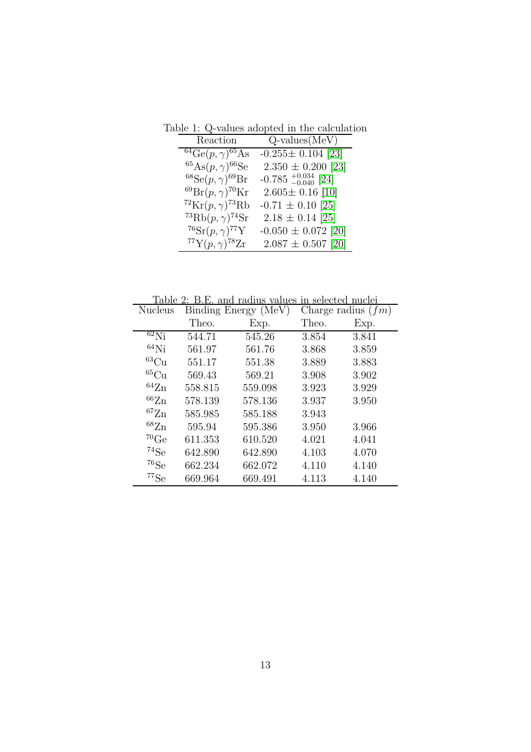Table 1: Q-values adopted in the calculation

| Reaction                                         | $Q$ -values $(MeV)$                 |
|--------------------------------------------------|-------------------------------------|
| $64\text{Ge}(p, \gamma)^{65}\text{As}$           | $-0.255 \pm 0.104$ [23]             |
| ${}^{65}\mathrm{As}(p,\gamma){}^{66}\mathrm{Se}$ | $2.350 \pm 0.200$ [23]              |
| ${}^{68}Se(p,\gamma){}^{69}Br$                   | $-0.785_{\,-0.040}^{\,+0.034}$ [24] |
| ${}^{69}\text{Br}(p,\gamma){}^{70}\text{Kr}$     | $2.605 \pm 0.16$ [10]               |
| ${}^{72}\mathrm{Kr}(p,\gamma){}^{73}\mathrm{Rb}$ | $-0.71 \pm 0.10$ [25]               |
| <sup>73</sup> Rb $(p, \gamma)$ <sup>74</sup> Sr  | $2.18 \pm 0.14$ [25]                |
| $^{76}Sr(p,\gamma)^{77}Y$                        | $-0.050 \pm 0.072$ [20]             |
| $^{77}Y(p,\gamma)^{78}Zr$                        | $2.087 \pm 0.507$ [20]              |

Table 2: B.E. and radius values in selected nuclei

| <b>Nucleus</b>       | Binding Energy (MeV) |         | Charge radius $(fm)$ |       |
|----------------------|----------------------|---------|----------------------|-------|
|                      | Theo.                | Exp.    | Theo.                | Exp.  |
| $62\text{Ni}$        | 544.71               | 545.26  | 3.854                | 3.841 |
| $64$ Ni              | 561.97               | 561.76  | 3.868                | 3.859 |
| ${}^{63}Cu$          | 551.17               | 551.38  | 3.889                | 3.883 |
| ${}^{65}Cu$          | 569.43               | 569.21  | 3.908                | 3.902 |
| ${}^{64}Zn$          | 558.815              | 559.098 | 3.923                | 3.929 |
| $^{66}\mathrm{Zn}$   | 578.139              | 578.136 | 3.937                | 3.950 |
| ${}^{67}Zn$          | 585.985              | 585.188 | 3.943                |       |
| ${}^{68}\mathrm{Zn}$ | 595.94               | 595.386 | 3.950                | 3.966 |
| $^{70}\mathrm{Ge}$   | 611.353              | 610.520 | 4.021                | 4.041 |
| ${}^{74}Se$          | 642.890              | 642.890 | 4.103                | 4.070 |
| ${}^{76}Se$          | 662.234              | 662.072 | 4.110                | 4.140 |
| $^{77}\mathrm{Se}$   | 669.964              | 669.491 | 4.113                | 4.140 |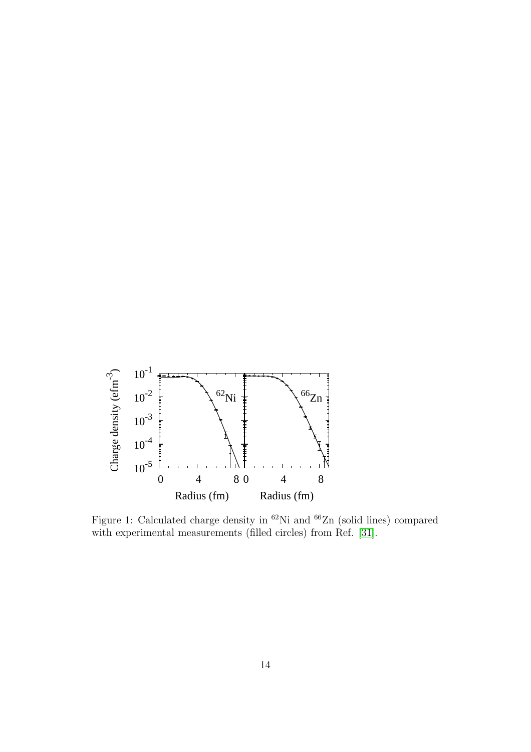

<span id="page-13-0"></span>Figure 1: Calculated charge density in  $^{62}\mathrm{Ni}$  and  $^{66}\mathrm{Zn}$  (solid lines) compared with experimental measurements (filled circles) from Ref. [\[31\]](#page-10-20).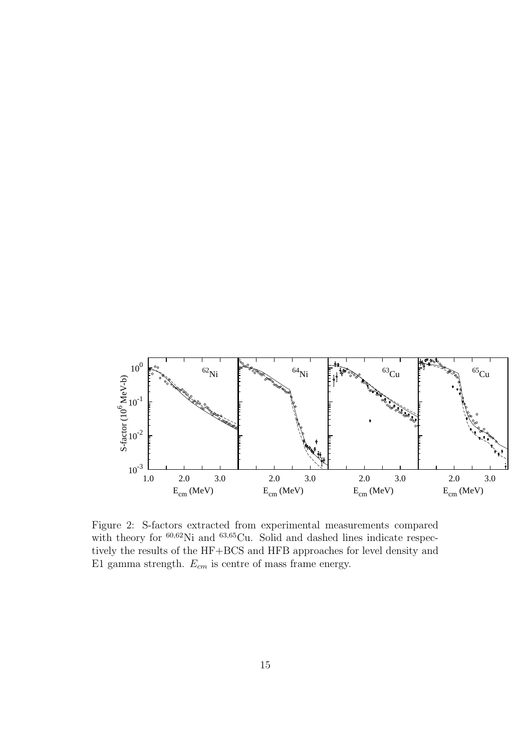

<span id="page-14-0"></span>Figure 2: S-factors extracted from experimental measurements compared with theory for  $60,62$ Ni and  $63,65$ Cu. Solid and dashed lines indicate respectively the results of the HF+BCS and HFB approaches for level density and E1 gamma strength.  $E_{cm}$  is centre of mass frame energy.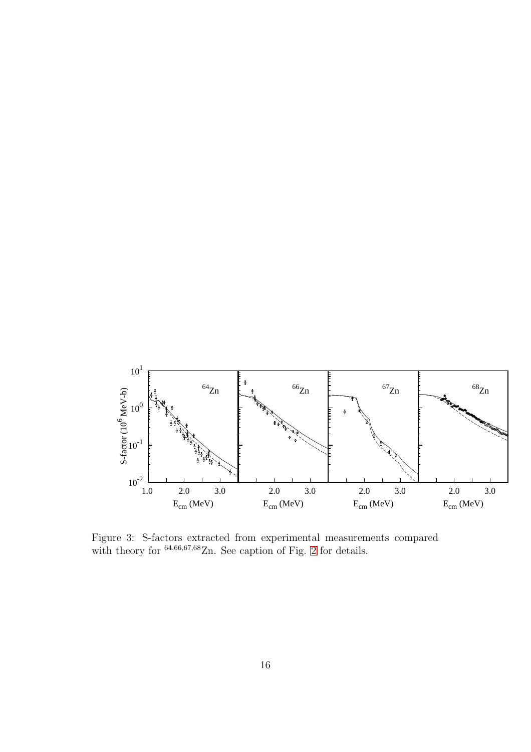

<span id="page-15-0"></span>Figure 3: S-factors extracted from experimental measurements compared with theory for  $64,66,67,68$ Zn. See caption of Fig. [2](#page-14-0) for details.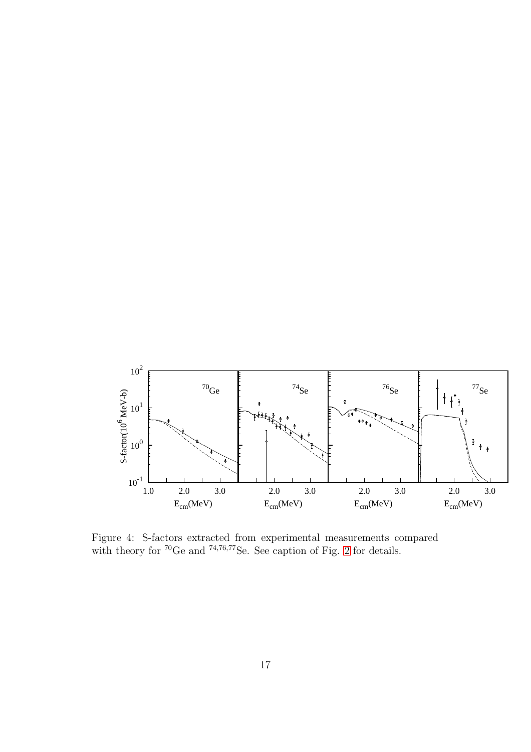

Figure 4: S-factors extracted from experimental measurements compared with theory for  ${}^{70}$ Ge and  ${}^{74,76,77}$ Se. See caption of Fig. [2](#page-14-0) for details.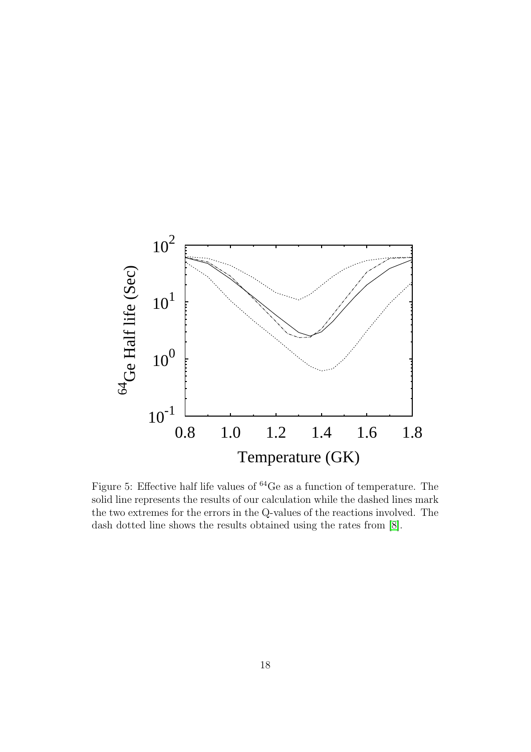

<span id="page-17-0"></span>Figure 5: Effective half life values of <sup>64</sup>Ge as a function of temperature. The solid line represents the results of our calculation while the dashed lines mark the two extremes for the errors in the Q-values of the reactions involved. The dash dotted line shows the results obtained using the rates from [\[8\]](#page-9-7).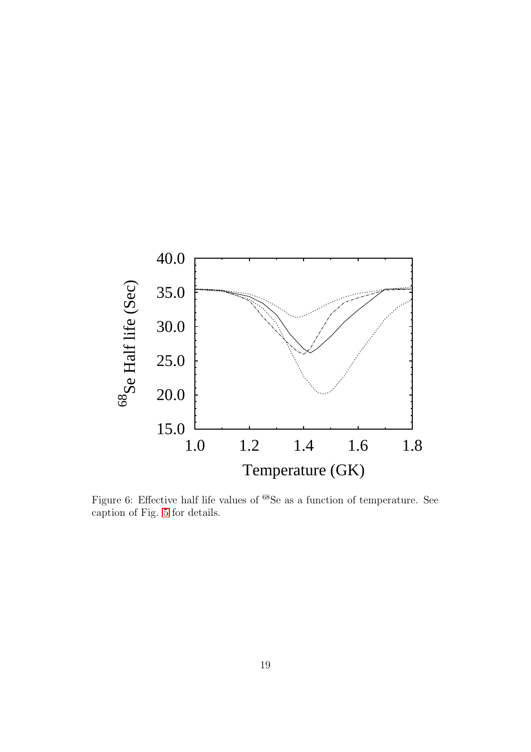

<span id="page-18-0"></span>Figure 6: Effective half life values of  $^{68}$ Se as a function of temperature. See caption of Fig. [5](#page-17-0) for details.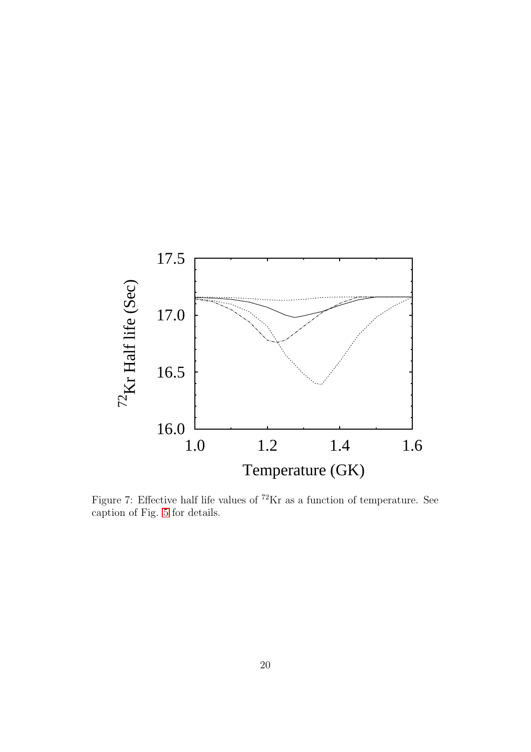

<span id="page-19-0"></span>Figure 7: Effective half life values of  ${}^{72}\mathrm{Kr}$  as a function of temperature. See caption of Fig. [5](#page-17-0) for details.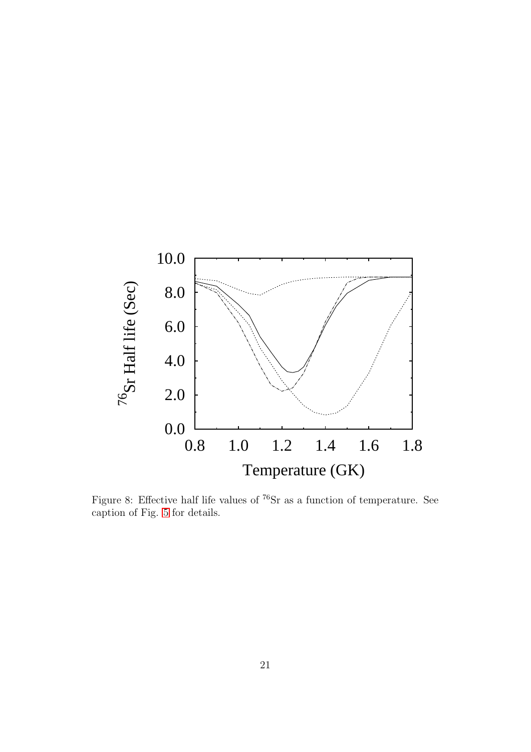

Figure 8: Effective half life values of  $^{76}Sr$  as a function of temperature. See caption of Fig. [5](#page-17-0) for details.